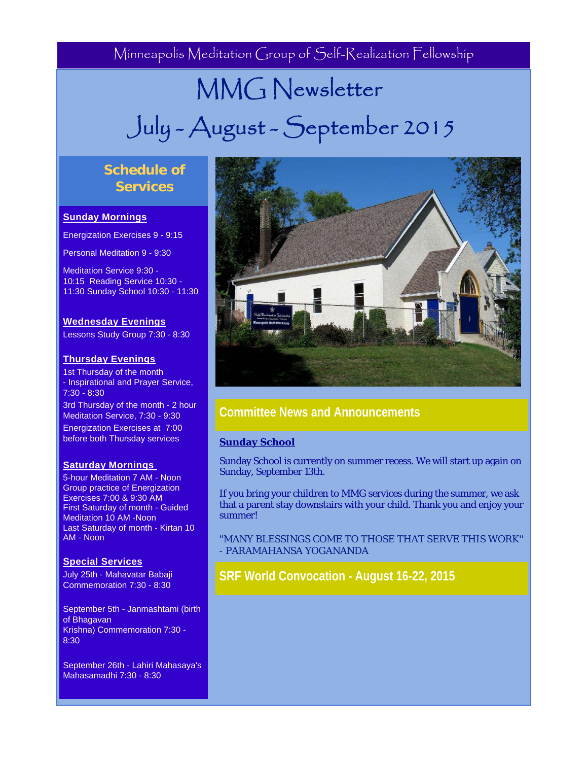Minneapolis Meditation Group of Self-Realization Fellowship

# MMG Newsletter July - August - September 2015

# **Schedule of Services**

## **Sunday Mornings**

Energization Exercises 9 - 9:15

Personal Meditation 9 - 9:30

Meditation Service 9:30 - 10:15 Reading Service 10:30 - 11:30 Sunday School 10:30 - 11:30

## **Wednesday Evenings**

Lessons Study Group 7:30 - 8:30

## **Thursday Evenings**

1st Thursday of the month - Inspirational and Prayer Service, 7:30 - 8:30

3rd Thursday of the month - 2 hour Meditation Service, 7:30 - 9:30 Energization Exercises at 7:00 before both Thursday services

## **Saturday Mornings**

5-hour Meditation 7 AM - Noon Group practice of Energization Exercises 7:00 & 9:30 AM First Saturday of month - Guided Meditation 10 AM -Noon Last Saturday of month - Kirtan 10 AM - Noon

#### **Special Services**

July 25th - Mahavatar Babaji Commemoration 7:30 - 8:30

September 5th - Janmashtami (birth of Bhagavan Krishna) Commemoration 7:30 - 8:30

September 26th - Lahiri Mahasaya's Mahasamadhi 7:30 - 8:30



# **Committee News and Announcements**

#### **Sunday School**

Sunday School is currently on summer recess. We will start up again on Sunday, September 13th.

If you bring your children to MMG services during the summer, we ask that a parent stay downstairs with your child. Thank you and enjoy your summer!

"MANY BLESSINGS COME TO THOSE THAT SERVE THIS WORK'' - PARAMAHANSA YOGANANDA

**SRF World Convocation - August 16-22, 2015**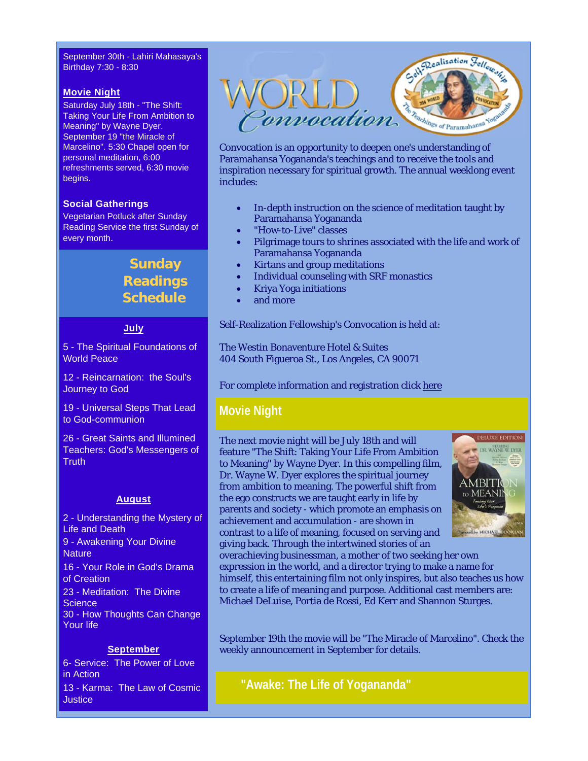September 30th - Lahiri Mahasaya's Birthday 7:30 - 8:30

#### **Movie Night**

Saturday July 18th - "The Shift: Taking Your Life From Ambition to Meaning" by Wayne Dyer. September 19 "the Miracle of Marcelino". 5:30 Chapel open for personal meditation, 6:00 refreshments served, 6:30 movie begins.

#### **Social Gatherings**

Vegetarian Potluck after Sunday Reading Service the first Sunday of every month.

# **Sunday Readings Schedule**

## **July**

5 - The Spiritual Foundations of World Peace

12 - Reincarnation: the Soul's Journey to God

19 - Universal Steps That Lead to God-communion

26 - Great Saints and Illumined Teachers: God's Messengers of **Truth** 

#### **August**

2 - Understanding the Mystery of Life and Death 9 - Awakening Your Divine **Nature** 16 - Your Role in God's Drama of Creation 23 - Meditation: The Divine **Science** 30 - How Thoughts Can Change Your life

#### **September**

6- Service: The Power of Love in Action 13 - Karma: The Law of Cosmic **Justice** 



Convocation is an opportunity to deepen one's understanding of Paramahansa Yogananda's teachings and to receive the tools and inspiration necessary for spiritual growth. The annual weeklong event includes:

- In-depth instruction on the science of meditation taught by Paramahansa Yogananda
- "How-to-Live" classes
- Pilgrimage tours to shrines associated with the life and work of Paramahansa Yogananda
- Kirtans and group meditations
- Individual counseling with SRF monastics
- Kriya Yoga initiations
- and more

Self-Realization Fellowship's Convocation is held at:

The Westin Bonaventure Hotel & Suites 404 South Figueroa St., Los Angeles, CA 90071

For complete information and registration click here

## **Movie Night**

The next movie night will be July 18th and will feature "The Shift: Taking Your Life From Ambition to Meaning" by Wayne Dyer. In this compelling film, Dr. Wayne W. Dyer explores the spiritual journey from ambition to meaning. The powerful shift from the ego constructs we are taught early in life by parents and society - which promote an emphasis on achievement and accumulation - are shown in contrast to a life of meaning, focused on serving and giving back. Through the intertwined stories of an



overachieving businessman, a mother of two seeking her own expression in the world, and a director trying to make a name for himself, this entertaining film not only inspires, but also teaches us how to create a life of meaning and purpose. Additional cast members are: Michael DeLuise, Portia de Rossi, Ed Kerr and Shannon Sturges.

September 19th the movie will be "The Miracle of Marcelino". Check the weekly announcement in September for details.

**"Awake: The Life of Yogananda"**